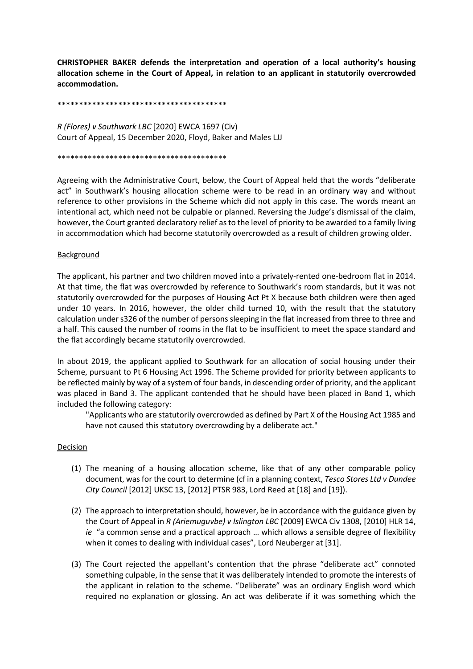**CHRISTOPHER BAKER defends the interpretation and operation of a local authority's housing allocation scheme in the Court of Appeal, in relation to an applicant in statutorily overcrowded accommodation.**

## \*\*\*\*\*\*\*\*\*\*\*\*\*\*\*\*\*\*\*\*\*\*\*\*\*\*\*\*\*\*\*\*\*\*\*\*\*\*\*

*R (Flores) v Southwark LBC* [2020] EWCA 1697 (Civ) Court of Appeal, 15 December 2020, Floyd, Baker and Males LJJ

#### \*\*\*\*\*\*\*\*\*\*\*\*\*\*\*\*\*\*\*\*\*\*\*\*\*\*\*\*\*\*\*\*\*\*\*\*\*\*\*

Agreeing with the Administrative Court, below, the Court of Appeal held that the words "deliberate act" in Southwark's housing allocation scheme were to be read in an ordinary way and without reference to other provisions in the Scheme which did not apply in this case. The words meant an intentional act, which need not be culpable or planned. Reversing the Judge's dismissal of the claim, however, the Court granted declaratory relief as to the level of priority to be awarded to a family living in accommodation which had become statutorily overcrowded as a result of children growing older.

## **Background**

The applicant, his partner and two children moved into a privately-rented one-bedroom flat in 2014. At that time, the flat was overcrowded by reference to Southwark's room standards, but it was not statutorily overcrowded for the purposes of Housing Act Pt X because both children were then aged under 10 years. In 2016, however, the older child turned 10, with the result that the statutory calculation under s326 of the number of persons sleeping in the flat increased from three to three and a half. This caused the number of rooms in the flat to be insufficient to meet the space standard and the flat accordingly became statutorily overcrowded.

In about 2019, the applicant applied to Southwark for an allocation of social housing under their Scheme, pursuant to Pt 6 Housing Act 1996. The Scheme provided for priority between applicants to be reflected mainly by way of a system of four bands, in descending order of priority, and the applicant was placed in Band 3. The applicant contended that he should have been placed in Band 1, which included the following category:

"Applicants who are statutorily overcrowded as defined by Part X of the Housing Act 1985 and have not caused this statutory overcrowding by a deliberate act."

## Decision

- (1) The meaning of a housing allocation scheme, like that of any other comparable policy document, was for the court to determine (cf in a planning context, *Tesco Stores Ltd v Dundee City Council* [2012] UKSC 13, [2012] PTSR 983, Lord Reed at [18] and [19]).
- (2) The approach to interpretation should, however, be in accordance with the guidance given by the Court of Appeal in *R (Ariemuguvbe) v Islington LBC* [2009] EWCA Civ 1308, [2010] HLR 14, *ie* "a common sense and a practical approach … which allows a sensible degree of flexibility when it comes to dealing with individual cases", Lord Neuberger at [31].
- (3) The Court rejected the appellant's contention that the phrase "deliberate act" connoted something culpable, in the sense that it was deliberately intended to promote the interests of the applicant in relation to the scheme. "Deliberate" was an ordinary English word which required no explanation or glossing. An act was deliberate if it was something which the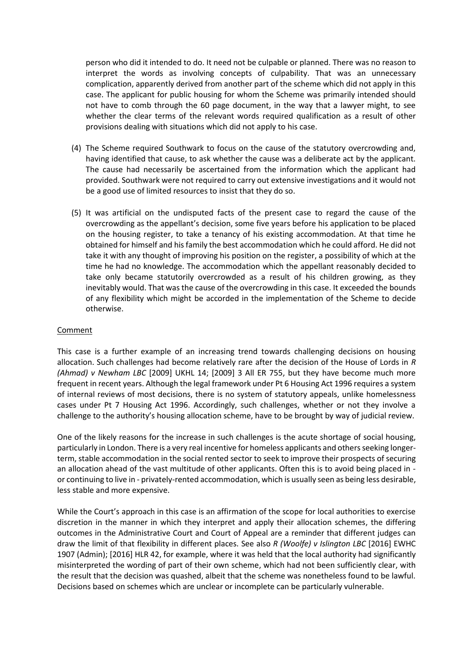person who did it intended to do. It need not be culpable or planned. There was no reason to interpret the words as involving concepts of culpability. That was an unnecessary complication, apparently derived from another part of the scheme which did not apply in this case. The applicant for public housing for whom the Scheme was primarily intended should not have to comb through the 60 page document, in the way that a lawyer might, to see whether the clear terms of the relevant words required qualification as a result of other provisions dealing with situations which did not apply to his case.

- (4) The Scheme required Southwark to focus on the cause of the statutory overcrowding and, having identified that cause, to ask whether the cause was a deliberate act by the applicant. The cause had necessarily be ascertained from the information which the applicant had provided. Southwark were not required to carry out extensive investigations and it would not be a good use of limited resources to insist that they do so.
- (5) It was artificial on the undisputed facts of the present case to regard the cause of the overcrowding as the appellant's decision, some five years before his application to be placed on the housing register, to take a tenancy of his existing accommodation. At that time he obtained for himself and his family the best accommodation which he could afford. He did not take it with any thought of improving his position on the register, a possibility of which at the time he had no knowledge. The accommodation which the appellant reasonably decided to take only became statutorily overcrowded as a result of his children growing, as they inevitably would. That was the cause of the overcrowding in this case. It exceeded the bounds of any flexibility which might be accorded in the implementation of the Scheme to decide otherwise.

# Comment

This case is a further example of an increasing trend towards challenging decisions on housing allocation. Such challenges had become relatively rare after the decision of the House of Lords in *R (Ahmad) v Newham LBC* [2009] UKHL 14; [2009] 3 All ER 755, but they have become much more frequent in recent years. Although the legal framework under Pt 6 Housing Act 1996 requires a system of internal reviews of most decisions, there is no system of statutory appeals, unlike homelessness cases under Pt 7 Housing Act 1996. Accordingly, such challenges, whether or not they involve a challenge to the authority's housing allocation scheme, have to be brought by way of judicial review.

One of the likely reasons for the increase in such challenges is the acute shortage of social housing, particularly in London. There is a very real incentive for homeless applicants and others seeking longerterm, stable accommodation in the social rented sector to seek to improve their prospects of securing an allocation ahead of the vast multitude of other applicants. Often this is to avoid being placed in or continuing to live in - privately-rented accommodation, which is usually seen as being less desirable, less stable and more expensive.

While the Court's approach in this case is an affirmation of the scope for local authorities to exercise discretion in the manner in which they interpret and apply their allocation schemes, the differing outcomes in the Administrative Court and Court of Appeal are a reminder that different judges can draw the limit of that flexibility in different places. See also *R (Woolfe) v Islington LBC* [2016] EWHC 1907 (Admin); [2016] HLR 42, for example, where it was held that the local authority had significantly misinterpreted the wording of part of their own scheme, which had not been sufficiently clear, with the result that the decision was quashed, albeit that the scheme was nonetheless found to be lawful. Decisions based on schemes which are unclear or incomplete can be particularly vulnerable.